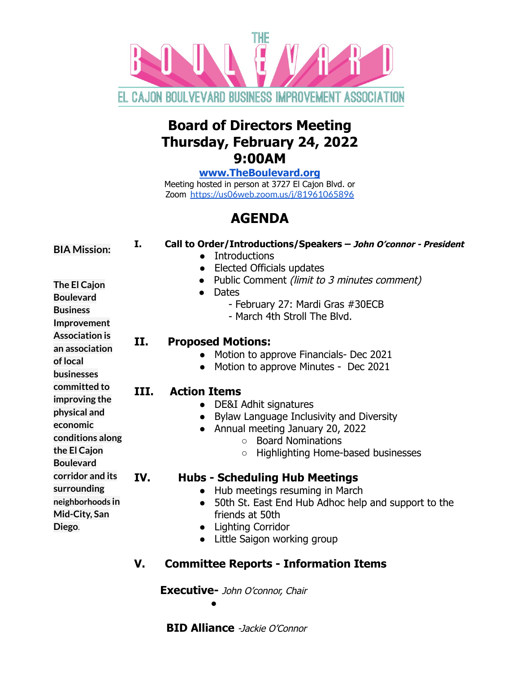

# **Board of Directors Meeting Thursday, February 24, 2022 9:00AM**

**[www.TheBoulevard.org](http://www.theboulevard.org)**

Meeting hosted in person at 3727 El Cajon Blvd. or Zoom <https://us06web.zoom.us/j/81961065896>

# **AGENDA**

| <b>BIA Mission:</b><br>The El Cajon<br><b>Boulevard</b><br><b>Business</b><br>Improvement<br><b>Association is</b><br>an association | I.<br>П. | Call to Order/Introductions/Speakers - John O'connor - President<br><b>Introductions</b><br>Elected Officials updates<br>Public Comment (limit to 3 minutes comment)<br><b>Dates</b><br>- February 27: Mardi Gras #30ECB<br>- March 4th Stroll The Blvd.<br><b>Proposed Motions:</b> |
|--------------------------------------------------------------------------------------------------------------------------------------|----------|--------------------------------------------------------------------------------------------------------------------------------------------------------------------------------------------------------------------------------------------------------------------------------------|
| of local<br><b>businesses</b>                                                                                                        |          | Motion to approve Financials- Dec 2021<br>Motion to approve Minutes - Dec 2021                                                                                                                                                                                                       |
| committed to<br>improving the<br>physical and<br>economic<br>conditions along<br>the El Cajon<br><b>Boulevard</b>                    | III.     | <b>Action Items</b><br>DE&I Adhit signatures<br>Bylaw Language Inclusivity and Diversity<br>Annual meeting January 20, 2022<br><b>Board Nominations</b><br>$\bigcirc$<br>Highlighting Home-based businesses<br>$\circ$                                                               |
| corridor and its<br>surrounding<br>neighborhoods in<br>Mid-City, San<br>Diego.                                                       | IV.      | <b>Hubs - Scheduling Hub Meetings</b><br>Hub meetings resuming in March<br>50th St. East End Hub Adhoc help and support to the<br>friends at 50th<br>• Lighting Corridor<br>Little Saigon working group                                                                              |
|                                                                                                                                      | V.       | <b>Committee Reports - Information Items</b>                                                                                                                                                                                                                                         |

**Executive-** John O'connor, Chair

 $\blacksquare$ 

**BID Alliance** -Jackie O'Connor